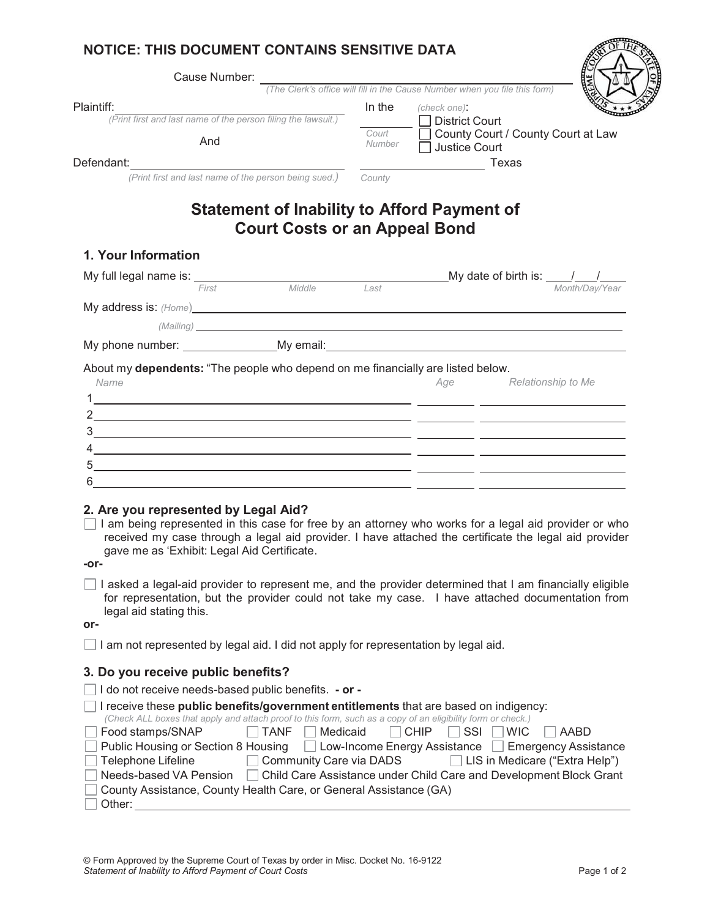## **NOTICE: THIS DOCUMENT CONTAINS SENSITIVE DATA**

| Cause Number:                                                                                                                                                                                                                          |        |                                                                                                       |
|----------------------------------------------------------------------------------------------------------------------------------------------------------------------------------------------------------------------------------------|--------|-------------------------------------------------------------------------------------------------------|
|                                                                                                                                                                                                                                        |        | (The Clerk's office will fill in the Cause Number when you file this form)                            |
| Plaintiff:<br>(Print first and last name of the person filing the lawsuit.)                                                                                                                                                            | In the | (check one):<br><b>District Court</b>                                                                 |
|                                                                                                                                                                                                                                        | Court  | □ County Court / County Court at Law                                                                  |
| And                                                                                                                                                                                                                                    | Number | Justice Court                                                                                         |
| Defendant:                                                                                                                                                                                                                             |        |                                                                                                       |
| (Print first and last name of the person being sued.)                                                                                                                                                                                  | County |                                                                                                       |
| <b>Statement of Inability to Afford Payment of</b>                                                                                                                                                                                     |        |                                                                                                       |
| <b>Court Costs or an Appeal Bond</b>                                                                                                                                                                                                   |        |                                                                                                       |
| 1. Your Information                                                                                                                                                                                                                    |        |                                                                                                       |
| My full legal name is: $F_{\text{irst}}$ Middle                                                                                                                                                                                        | Last   | My date of birth is: $\frac{1}{\frac{Month/Day/Year}{Month/Day/Year}}$                                |
|                                                                                                                                                                                                                                        |        |                                                                                                       |
| My address is: (Home) My address is: (Home)                                                                                                                                                                                            |        |                                                                                                       |
| (Mailing) and the contract of the contract of the contract of the contract of the contract of the contract of the contract of the contract of the contract of the contract of the contract of the contract of the contract of          |        |                                                                                                       |
|                                                                                                                                                                                                                                        |        |                                                                                                       |
|                                                                                                                                                                                                                                        |        |                                                                                                       |
| <u> 2002 - Andrea Andrew Amerikaanse kommunister (* 1952)</u>                                                                                                                                                                          |        |                                                                                                       |
| 2. Are you represented by Legal Aid?<br>I am being represented in this case for free by an attorney who works for a legal aid provider or who                                                                                          |        | received my case through a legal aid provider. I have attached the certificate the legal aid provider |
| gave me as 'Exhibit: Legal Aid Certificate.<br>-or-                                                                                                                                                                                    |        |                                                                                                       |
| I asked a legal-aid provider to represent me, and the provider determined that I am financially eligible<br>for representation, but the provider could not take my case. I have attached documentation from<br>legal aid stating this. |        |                                                                                                       |
| or-<br>I am not represented by legal aid. I did not apply for representation by legal aid.                                                                                                                                             |        |                                                                                                       |
|                                                                                                                                                                                                                                        |        |                                                                                                       |
| 3. Do you receive public benefits?<br>I do not receive needs-based public benefits. - or -                                                                                                                                             |        |                                                                                                       |

| $\pm$ 11 cocive mese <b>public perients/government entitients inst</b> are pased on indigency.              |  |                            |  |  |  |                                                        |
|-------------------------------------------------------------------------------------------------------------|--|----------------------------|--|--|--|--------------------------------------------------------|
| (Check ALL boxes that apply and attach proof to this form, such as a copy of an eligibility form or check.) |  |                            |  |  |  |                                                        |
| □ Food stamps/SNAP                                                                                          |  | TANF Medicaid CHIP SSI WIC |  |  |  | AABD                                                   |
| □ Public Housing or Section 8 Housing □ Low-Income Energy Assistance □ Emergency Assistance                 |  |                            |  |  |  |                                                        |
| Telephone Lifeline                                                                                          |  |                            |  |  |  | Community Care via DADS LIS in Medicare ("Extra Help") |
| ] Needs-based VA Pension □ Child Care Assistance under Child Care and Development Block Grant               |  |                            |  |  |  |                                                        |
| □ County Assistance, County Health Care, or General Assistance (GA)                                         |  |                            |  |  |  |                                                        |
| Other:                                                                                                      |  |                            |  |  |  |                                                        |